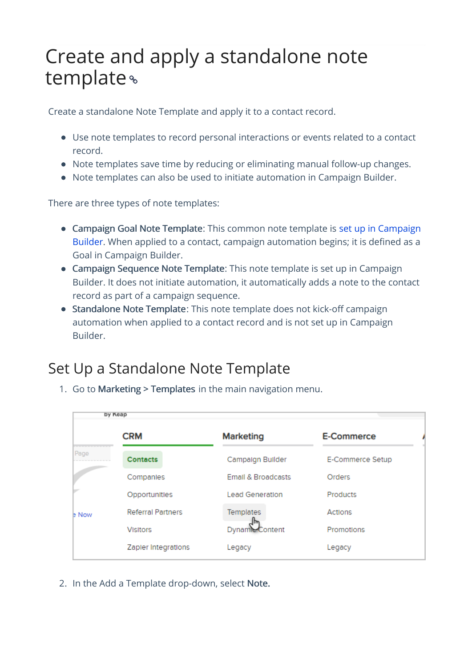## Create and apply a standalone note template

Create a standalone Note Template and apply it to a contact record.

- Use note templates to record personal interactions or events related to a contact record.
- Note templates save time by reducing or eliminating manual follow-up changes.
- Note templates can also be used to initiate automation in Campaign Builder.

There are three types of note templates:

- Campaign Goal Note Template: This common note template is set up in Campaign Builder. When applied to a contact, campaign automation begins; it is defined as a Goal in Campaign Builder.
- Campaign Sequence Note Template: This note template is set up in Campaign Builder. It does not initiate automation, it automatically adds a note to the contact record as part of a campaign sequence.
- Standalone Note Template: This note template does not kick-off campaign automation when applied to a contact record and is not set up in Campaign Builder.

## Set Up a Standalone Note Template

| 1. Go to Marketing > Templates in the main navigation menu. |  |
|-------------------------------------------------------------|--|
|-------------------------------------------------------------|--|

|              | by Keap                  |                               |                  |  |
|--------------|--------------------------|-------------------------------|------------------|--|
|              | <b>CRM</b>               | <b>Marketing</b>              | E-Commerce       |  |
| Page         | <b>Contacts</b>          | Campaign Builder              | E-Commerce Setup |  |
|              | Companies                | <b>Email &amp; Broadcasts</b> | Orders           |  |
|              | Opportunities            | <b>Lead Generation</b>        | <b>Products</b>  |  |
| <b>b</b> Now | <b>Referral Partners</b> | Templates                     | Actions          |  |
|              | <b>Visitors</b>          | Dynamic Content               | Promotions       |  |
|              | Zapler Integrations      | Legacy                        | Legacy           |  |

2. In the Add a Template drop-down, select Note.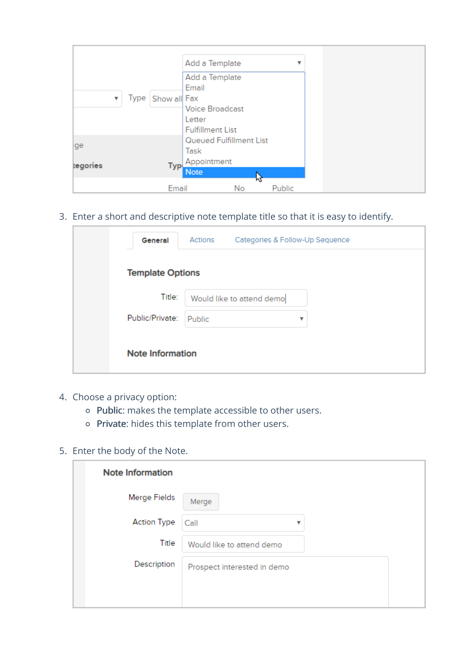|          |                   | Add a Template                                                                         |         | v      |  |
|----------|-------------------|----------------------------------------------------------------------------------------|---------|--------|--|
| v        | Type Show all Fax | Add a Template<br>Email<br><b>Voice Broadcast</b><br>Letter<br><b>Fulfillment List</b> |         |        |  |
| ge       |                   | Queued Fulfillment List<br>Task                                                        |         |        |  |
| tegories | Typ.              | Appointment<br><b>Note</b>                                                             |         |        |  |
|          | Email             |                                                                                        | M<br>No | Public |  |

3. Enter a short and descriptive note template title so that it is easy to identify.

| General                 | Actions | Categories & Follow-Up Sequence |   |  |
|-------------------------|---------|---------------------------------|---|--|
| <b>Template Options</b> |         |                                 |   |  |
| Title:                  |         | Would like to attend demo       |   |  |
| Public/Private:         | Public  |                                 | ▼ |  |
| <b>Note Information</b> |         |                                 |   |  |

- 4. Choose a privacy option:
	- Public: makes the template accessible to other users.
	- o Private: hides this template from other users.

## 5. Enter the body of the Note.

| <b>Note Information</b> |                             |
|-------------------------|-----------------------------|
| Merge Fields            | Merge                       |
| <b>Action Type</b>      | Call<br>v                   |
| Title                   | Would like to attend demo   |
| Description             | Prospect interested in demo |
|                         |                             |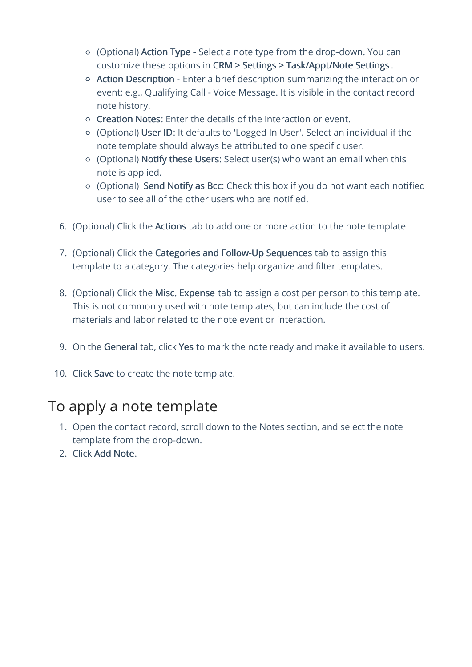- (Optional) Action Type Select a note type from the drop-down. You can customize these options in CRM > Settings > Task/Appt/Note Settings .
- Action Description Enter a brief description summarizing the interaction or event; e.g., Qualifying Call - Voice Message. It is visible in the contact record note history.
- Creation Notes: Enter the details of the interaction or event.
- (Optional) User ID: It defaults to 'Logged In User'. Select an individual if the note template should always be attributed to one specific user.
- (Optional) Notify these Users: Select user(s) who want an email when this note is applied.
- (Optional) Send Notify as Bcc: Check this box if you do not want each notified user to see all of the other users who are notified.
- 6. (Optional) Click the Actions tab to add one or more action to the note template.
- 7. (Optional) Click the Categories and Follow-Up Sequences tab to assign this template to a category. The categories help organize and filter templates.
- 8. (Optional) Click the Misc. Expense tab to assign a cost per person to this template. This is not commonly used with note templates, but can include the cost of materials and labor related to the note event or interaction.
- 9. On the General tab, click Yes to mark the note ready and make it available to users.
- 10. Click Save to create the note template.

## To apply a note template

- 1. Open the contact record, scroll down to the Notes section, and select the note template from the drop-down.
- 2. Click Add Note.